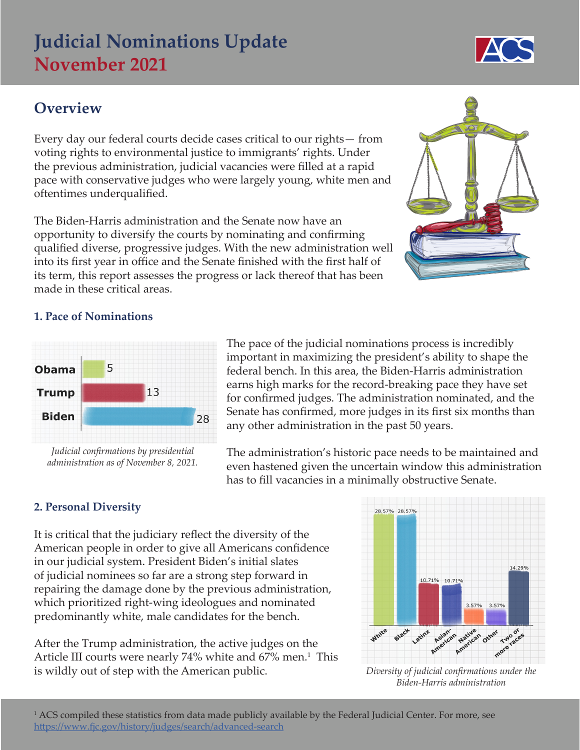# **Judicial Nominations Update November 2021**

## **Overview**

Every day our federal courts decide cases critical to our rights— from voting rights to environmental justice to immigrants' rights. Under the previous administration, judicial vacancies were filled at a rapid pace with conservative judges who were largely young, white men and oftentimes underqualified.

The Biden-Harris administration and the Senate now have an opportunity to diversify the courts by nominating and confirming qualified diverse, progressive judges. With the new administration well into its first year in office and the Senate finished with the first half of its term, this report assesses the progress or lack thereof that has been made in these critical areas.



### **1. Pace of Nominations**



*Judicial confirmations by presidential administration as of November 8, 2021.*

The pace of the judicial nominations process is incredibly important in maximizing the president's ability to shape the federal bench. In this area, the Biden-Harris administration earns high marks for the record-breaking pace they have set for confirmed judges. The administration nominated, and the Senate has confirmed, more judges in its first six months than any other administration in the past 50 years.

The administration's historic pace needs to be maintained and even hastened given the uncertain window this administration has to fill vacancies in a minimally obstructive Senate.

### **2. Personal Diversity**

It is critical that the judiciary reflect the diversity of the American people in order to give all Americans confidence in our judicial system. President Biden's initial slates of judicial nominees so far are a strong step forward in repairing the damage done by the previous administration, which prioritized right-wing ideologues and nominated predominantly white, male candidates for the bench.

After the Trump administration, the active judges on the Article III courts were nearly 74% white and 67% men.<sup>1</sup> This is wildly out of step with the American public.



*Diversity of judicial confirmations under the Biden-Harris administration*